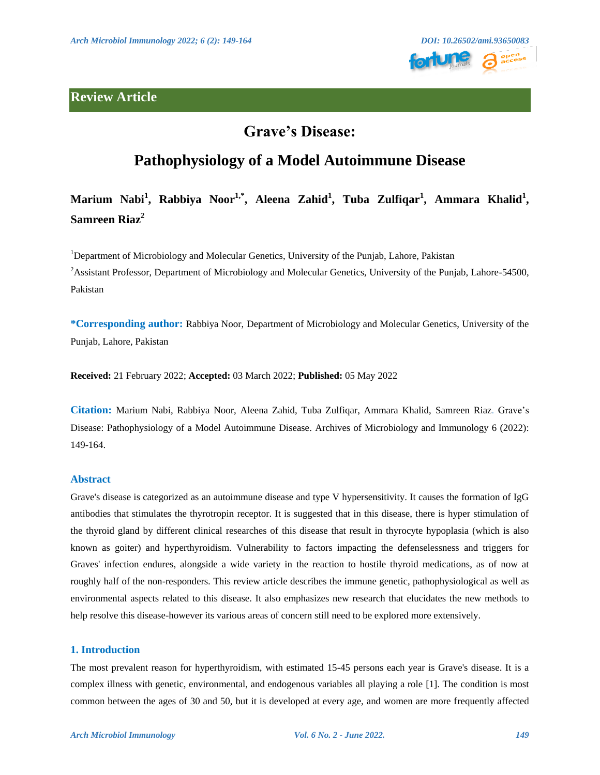## **Review Article**



## **Grave's Disease:**

## **Pathophysiology of a Model Autoimmune Disease**

# **Marium Nabi<sup>1</sup> , Rabbiya Noor1,\*, Aleena Zahid<sup>1</sup> , Tuba Zulfiqar<sup>1</sup> , Ammara Khalid<sup>1</sup> , Samreen Riaz<sup>2</sup>**

<sup>1</sup>Department of Microbiology and Molecular Genetics, University of the Punjab, Lahore, Pakistan <sup>2</sup>Assistant Professor, Department of Microbiology and Molecular Genetics, University of the Punjab, Lahore-54500, Pakistan

**\*Corresponding author:** Rabbiya Noor, Department of Microbiology and Molecular Genetics, University of the Punjab, Lahore, Pakistan

**Received:** 21 February 2022; **Accepted:** 03 March 2022; **Published:** 05 May 2022

**Citation:** Marium Nabi, Rabbiya Noor, Aleena Zahid, Tuba Zulfiqar, Ammara Khalid, Samreen Riaz. Grave's Disease: Pathophysiology of a Model Autoimmune Disease. Archives of Microbiology and Immunology 6 (2022): 149-164.

## **Abstract**

Grave's disease is categorized as an autoimmune disease and type V hypersensitivity. It causes the formation of IgG antibodies that stimulates the thyrotropin receptor. It is suggested that in this disease, there is hyper stimulation of the thyroid gland by different clinical researches of this disease that result in thyrocyte hypoplasia (which is also known as goiter) and hyperthyroidism. Vulnerability to factors impacting the defenselessness and triggers for Graves' infection endures, alongside a wide variety in the reaction to hostile thyroid medications, as of now at roughly half of the non-responders. This review article describes the immune genetic, pathophysiological as well as environmental aspects related to this disease. It also emphasizes new research that elucidates the new methods to help resolve this disease-however its various areas of concern still need to be explored more extensively.

#### **1. Introduction**

The most prevalent reason for hyperthyroidism, with estimated 15-45 persons each year is Grave's disease. It is a complex illness with genetic, environmental, and endogenous variables all playing a role [1]. The condition is most common between the ages of 30 and 50, but it is developed at every age, and women are more frequently affected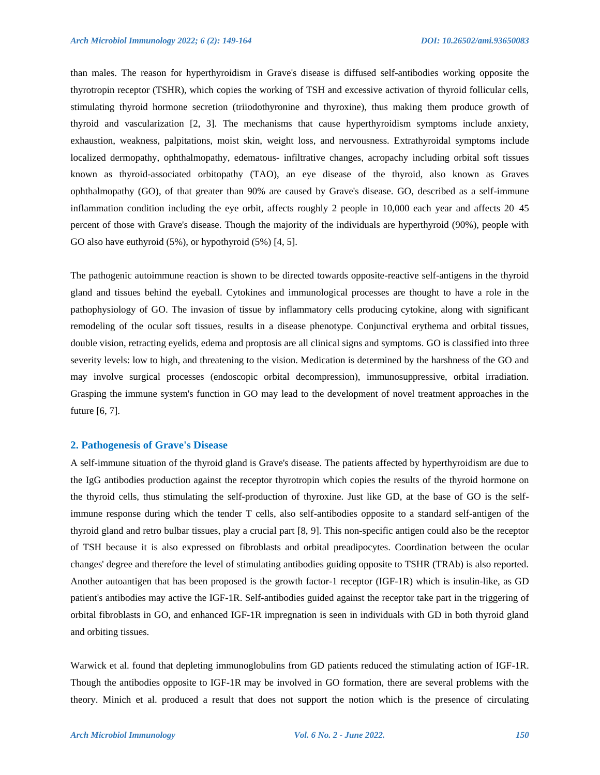than males. The reason for hyperthyroidism in Grave's disease is diffused self-antibodies working opposite the thyrotropin receptor (TSHR), which copies the working of TSH and excessive activation of thyroid follicular cells, stimulating thyroid hormone secretion (triiodothyronine and thyroxine), thus making them produce growth of thyroid and vascularization [2, 3]. The mechanisms that cause hyperthyroidism symptoms include anxiety, exhaustion, weakness, palpitations, moist skin, weight loss, and nervousness. Extrathyroidal symptoms include localized dermopathy, ophthalmopathy, edematous- infiltrative changes, acropachy including orbital soft tissues known as thyroid-associated orbitopathy (TAO), an eye disease of the thyroid, also known as Graves ophthalmopathy (GO), of that greater than 90% are caused by Grave's disease. GO, described as a self-immune inflammation condition including the eye orbit, affects roughly 2 people in 10,000 each year and affects 20–45 percent of those with Grave's disease. Though the majority of the individuals are hyperthyroid (90%), people with GO also have euthyroid (5%), or hypothyroid (5%) [4, 5].

The pathogenic autoimmune reaction is shown to be directed towards opposite-reactive self-antigens in the thyroid gland and tissues behind the eyeball. Cytokines and immunological processes are thought to have a role in the pathophysiology of GO. The invasion of tissue by inflammatory cells producing cytokine, along with significant remodeling of the ocular soft tissues, results in a disease phenotype. Conjunctival erythema and orbital tissues, double vision, retracting eyelids, edema and proptosis are all clinical signs and symptoms. GO is classified into three severity levels: low to high, and threatening to the vision. Medication is determined by the harshness of the GO and may involve surgical processes (endoscopic orbital decompression), immunosuppressive, orbital irradiation. Grasping the immune system's function in GO may lead to the development of novel treatment approaches in the future [6, 7].

### **2. Pathogenesis of Grave's Disease**

A self-immune situation of the thyroid gland is Grave's disease. The patients affected by hyperthyroidism are due to the IgG antibodies production against the receptor thyrotropin which copies the results of the thyroid hormone on the thyroid cells, thus stimulating the self-production of thyroxine. Just like GD, at the base of GO is the selfimmune response during which the tender T cells, also self-antibodies opposite to a standard self-antigen of the thyroid gland and retro bulbar tissues, play a crucial part [8, 9]. This non-specific antigen could also be the receptor of TSH because it is also expressed on fibroblasts and orbital preadipocytes. Coordination between the ocular changes' degree and therefore the level of stimulating antibodies guiding opposite to TSHR (TRAb) is also reported. Another autoantigen that has been proposed is the growth factor-1 receptor (IGF-1R) which is insulin-like, as GD patient's antibodies may active the IGF-1R. Self-antibodies guided against the receptor take part in the triggering of orbital fibroblasts in GO, and enhanced IGF-1R impregnation is seen in individuals with GD in both thyroid gland and orbiting tissues.

Warwick et al. found that depleting immunoglobulins from GD patients reduced the stimulating action of IGF-1R. Though the antibodies opposite to IGF-1R may be involved in GO formation, there are several problems with the theory. Minich et al. produced a result that does not support the notion which is the presence of circulating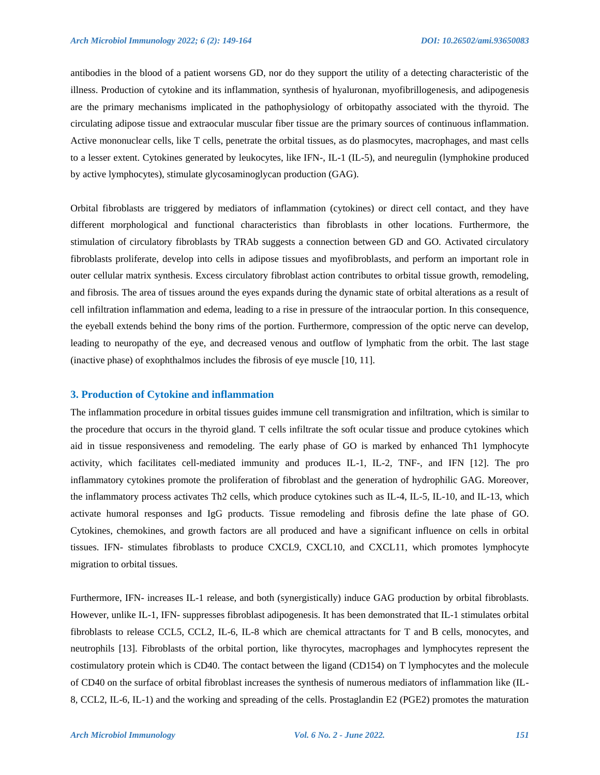antibodies in the blood of a patient worsens GD, nor do they support the utility of a detecting characteristic of the illness. Production of cytokine and its inflammation, synthesis of hyaluronan, myofibrillogenesis, and adipogenesis are the primary mechanisms implicated in the pathophysiology of orbitopathy associated with the thyroid. The circulating adipose tissue and extraocular muscular fiber tissue are the primary sources of continuous inflammation. Active mononuclear cells, like T cells, penetrate the orbital tissues, as do plasmocytes, macrophages, and mast cells to a lesser extent. Cytokines generated by leukocytes, like IFN-, IL-1 (IL-5), and neuregulin (lymphokine produced by active lymphocytes), stimulate glycosaminoglycan production (GAG).

Orbital fibroblasts are triggered by mediators of inflammation (cytokines) or direct cell contact, and they have different morphological and functional characteristics than fibroblasts in other locations. Furthermore, the stimulation of circulatory fibroblasts by TRAb suggests a connection between GD and GO. Activated circulatory fibroblasts proliferate, develop into cells in adipose tissues and myofibroblasts, and perform an important role in outer cellular matrix synthesis. Excess circulatory fibroblast action contributes to orbital tissue growth, remodeling, and fibrosis. The area of tissues around the eyes expands during the dynamic state of orbital alterations as a result of cell infiltration inflammation and edema, leading to a rise in pressure of the intraocular portion. In this consequence, the eyeball extends behind the bony rims of the portion. Furthermore, compression of the optic nerve can develop, leading to neuropathy of the eye, and decreased venous and outflow of lymphatic from the orbit. The last stage (inactive phase) of exophthalmos includes the fibrosis of eye muscle [10, 11].

#### **3. Production of Cytokine and inflammation**

The inflammation procedure in orbital tissues guides immune cell transmigration and infiltration, which is similar to the procedure that occurs in the thyroid gland. T cells infiltrate the soft ocular tissue and produce cytokines which aid in tissue responsiveness and remodeling. The early phase of GO is marked by enhanced Th1 lymphocyte activity, which facilitates cell-mediated immunity and produces IL-1, IL-2, TNF-, and IFN [12]. The pro inflammatory cytokines promote the proliferation of fibroblast and the generation of hydrophilic GAG. Moreover, the inflammatory process activates Th2 cells, which produce cytokines such as IL-4, IL-5, IL-10, and IL-13, which activate humoral responses and IgG products. Tissue remodeling and fibrosis define the late phase of GO. Cytokines, chemokines, and growth factors are all produced and have a significant influence on cells in orbital tissues. IFN- stimulates fibroblasts to produce CXCL9, CXCL10, and CXCL11, which promotes lymphocyte migration to orbital tissues.

Furthermore, IFN- increases IL-1 release, and both (synergistically) induce GAG production by orbital fibroblasts. However, unlike IL-1, IFN- suppresses fibroblast adipogenesis. It has been demonstrated that IL-1 stimulates orbital fibroblasts to release CCL5, CCL2, IL-6, IL-8 which are chemical attractants for T and B cells, monocytes, and neutrophils [13]. Fibroblasts of the orbital portion, like thyrocytes, macrophages and lymphocytes represent the costimulatory protein which is CD40. The contact between the ligand (CD154) on T lymphocytes and the molecule of CD40 on the surface of orbital fibroblast increases the synthesis of numerous mediators of inflammation like (IL-8, CCL2, IL-6, IL-1) and the working and spreading of the cells. Prostaglandin E2 (PGE2) promotes the maturation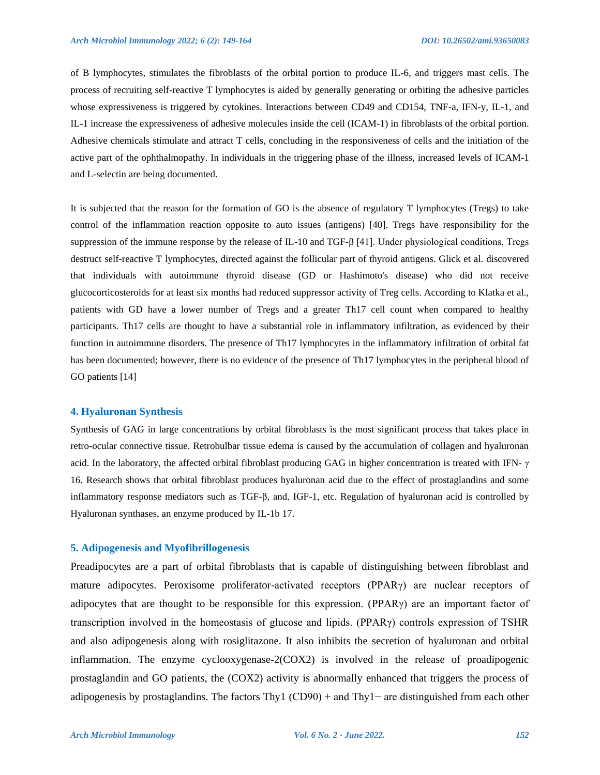of B lymphocytes, stimulates the fibroblasts of the orbital portion to produce IL-6, and triggers mast cells. The process of recruiting self-reactive T lymphocytes is aided by generally generating or orbiting the adhesive particles whose expressiveness is triggered by cytokines. Interactions between CD49 and CD154, TNF-a, IFN-y, IL-1, and IL-1 increase the expressiveness of adhesive molecules inside the cell (ICAM-1) in fibroblasts of the orbital portion. Adhesive chemicals stimulate and attract T cells, concluding in the responsiveness of cells and the initiation of the active part of the ophthalmopathy. In individuals in the triggering phase of the illness, increased levels of ICAM-1 and L-selectin are being documented.

It is subjected that the reason for the formation of GO is the absence of regulatory T lymphocytes (Tregs) to take control of the inflammation reaction opposite to auto issues (antigens) [40]. Tregs have responsibility for the suppression of the immune response by the release of IL-10 and TGF-β [41]. Under physiological conditions, Tregs destruct self-reactive T lymphocytes, directed against the follicular part of thyroid antigens. Glick et al. discovered that individuals with autoimmune thyroid disease (GD or Hashimoto's disease) who did not receive glucocorticosteroids for at least six months had reduced suppressor activity of Treg cells. According to Klatka et al., patients with GD have a lower number of Tregs and a greater Th17 cell count when compared to healthy participants. Th17 cells are thought to have a substantial role in inflammatory infiltration, as evidenced by their function in autoimmune disorders. The presence of Th17 lymphocytes in the inflammatory infiltration of orbital fat has been documented; however, there is no evidence of the presence of Th17 lymphocytes in the peripheral blood of GO patients [14]

#### **4. Hyaluronan Synthesis**

Synthesis of GAG in large concentrations by orbital fibroblasts is the most significant process that takes place in retro-ocular connective tissue. Retrobulbar tissue edema is caused by the accumulation of collagen and hyaluronan acid. In the laboratory, the affected orbital fibroblast producing GAG in higher concentration is treated with IFN- γ 16. Research shows that orbital fibroblast produces hyaluronan acid due to the effect of prostaglandins and some inflammatory response mediators such as TGF-β, and, IGF-1, etc. Regulation of hyaluronan acid is controlled by Hyaluronan synthases, an enzyme produced by IL-1b 17.

## **5. Adipogenesis and Myofibrillogenesis**

Preadipocytes are a part of orbital fibroblasts that is capable of distinguishing between fibroblast and mature adipocytes. Peroxisome proliferator-activated receptors (PPARγ) are nuclear receptors of adipocytes that are thought to be responsible for this expression. (PPARγ) are an important factor of transcription involved in the homeostasis of glucose and lipids. (PPARγ) controls expression of TSHR and also adipogenesis along with rosiglitazone. It also inhibits the secretion of hyaluronan and orbital inflammation. The enzyme cyclooxygenase-2(COX2) is involved in the release of proadipogenic prostaglandin and GO patients, the (COX2) activity is abnormally enhanced that triggers the process of adipogenesis by prostaglandins. The factors Thy1 (CD90) + and Thy1− are distinguished from each other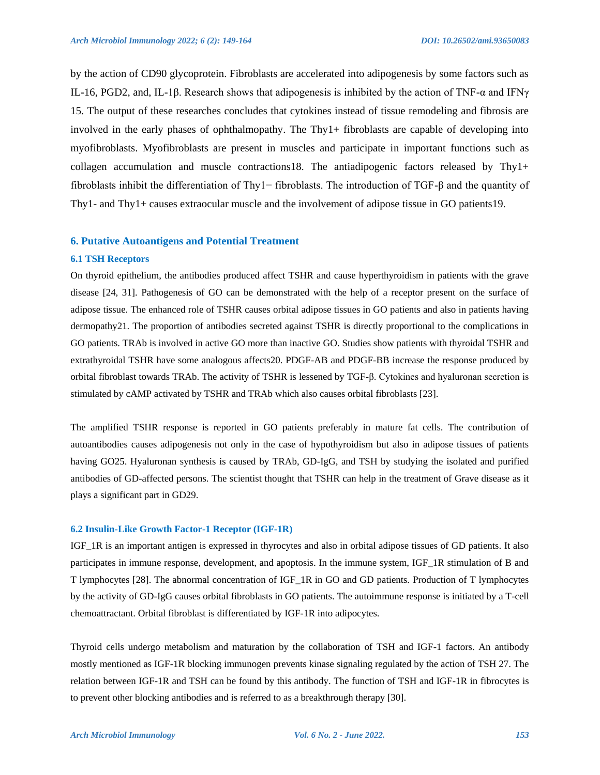by the action of CD90 glycoprotein. Fibroblasts are accelerated into adipogenesis by some factors such as IL-16, PGD2, and, IL-1β. Research shows that adipogenesis is inhibited by the action of TNF-α and IFNγ 15. The output of these researches concludes that cytokines instead of tissue remodeling and fibrosis are involved in the early phases of ophthalmopathy. The Thy1+ fibroblasts are capable of developing into myofibroblasts. Myofibroblasts are present in muscles and participate in important functions such as collagen accumulation and muscle contractions18. The antiadipogenic factors released by Thy1+ fibroblasts inhibit the differentiation of Thy1− fibroblasts. The introduction of TGF-β and the quantity of Thy1- and Thy1+ causes extraocular muscle and the involvement of adipose tissue in GO patients19.

## **6. Putative Autoantigens and Potential Treatment**

## **6.1 TSH Receptors**

On thyroid epithelium, the antibodies produced affect TSHR and cause hyperthyroidism in patients with the grave disease [24, 31]. Pathogenesis of GO can be demonstrated with the help of a receptor present on the surface of adipose tissue. The enhanced role of TSHR causes orbital adipose tissues in GO patients and also in patients having dermopathy21. The proportion of antibodies secreted against TSHR is directly proportional to the complications in GO patients. TRAb is involved in active GO more than inactive GO. Studies show patients with thyroidal TSHR and extrathyroidal TSHR have some analogous affects20. PDGF-AB and PDGF-BB increase the response produced by orbital fibroblast towards TRAb. The activity of TSHR is lessened by TGF-β. Cytokines and hyaluronan secretion is stimulated by cAMP activated by TSHR and TRAb which also causes orbital fibroblasts [23].

The amplified TSHR response is reported in GO patients preferably in mature fat cells. The contribution of autoantibodies causes adipogenesis not only in the case of hypothyroidism but also in adipose tissues of patients having GO25. Hyaluronan synthesis is caused by TRAb, GD-IgG, and TSH by studying the isolated and purified antibodies of GD-affected persons. The scientist thought that TSHR can help in the treatment of Grave disease as it plays a significant part in GD29.

#### **6.2 Insulin-Like Growth Factor-1 Receptor (IGF-1R)**

IGF\_1R is an important antigen is expressed in thyrocytes and also in orbital adipose tissues of GD patients. It also participates in immune response, development, and apoptosis. In the immune system, IGF\_1R stimulation of B and T lymphocytes [28]. The abnormal concentration of IGF\_1R in GO and GD patients. Production of T lymphocytes by the activity of GD-IgG causes orbital fibroblasts in GO patients. The autoimmune response is initiated by a T-cell chemoattractant. Orbital fibroblast is differentiated by IGF-1R into adipocytes.

Thyroid cells undergo metabolism and maturation by the collaboration of TSH and IGF-1 factors. An antibody mostly mentioned as IGF-1R blocking immunogen prevents kinase signaling regulated by the action of TSH 27. The relation between IGF-1R and TSH can be found by this antibody. The function of TSH and IGF-1R in fibrocytes is to prevent other blocking antibodies and is referred to as a breakthrough therapy [30].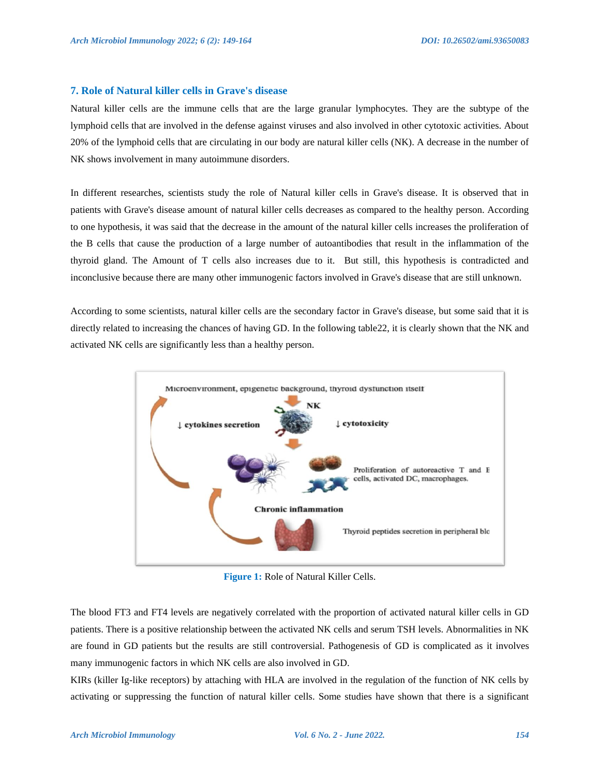## **7. Role of Natural killer cells in Grave's disease**

Natural killer cells are the immune cells that are the large granular lymphocytes. They are the subtype of the lymphoid cells that are involved in the defense against viruses and also involved in other cytotoxic activities. About 20% of the lymphoid cells that are circulating in our body are natural killer cells (NK). A decrease in the number of NK shows involvement in many autoimmune disorders.

In different researches, scientists study the role of Natural killer cells in Grave's disease. It is observed that in patients with Grave's disease amount of natural killer cells decreases as compared to the healthy person. According to one hypothesis, it was said that the decrease in the amount of the natural killer cells increases the proliferation of the B cells that cause the production of a large number of autoantibodies that result in the inflammation of the thyroid gland. The Amount of T cells also increases due to it. But still, this hypothesis is contradicted and inconclusive because there are many other immunogenic factors involved in Grave's disease that are still unknown.

According to some scientists, natural killer cells are the secondary factor in Grave's disease, but some said that it is directly related to increasing the chances of having GD. In the following table22, it is clearly shown that the NK and activated NK cells are significantly less than a healthy person.



**Figure 1:** Role of Natural Killer Cells.

The blood FT3 and FT4 levels are negatively correlated with the proportion of activated natural killer cells in GD patients. There is a positive relationship between the activated NK cells and serum TSH levels. Abnormalities in NK are found in GD patients but the results are still controversial. Pathogenesis of GD is complicated as it involves many immunogenic factors in which NK cells are also involved in GD.

KIRs (killer Ig-like receptors) by attaching with HLA are involved in the regulation of the function of NK cells by activating or suppressing the function of natural killer cells. Some studies have shown that there is a significant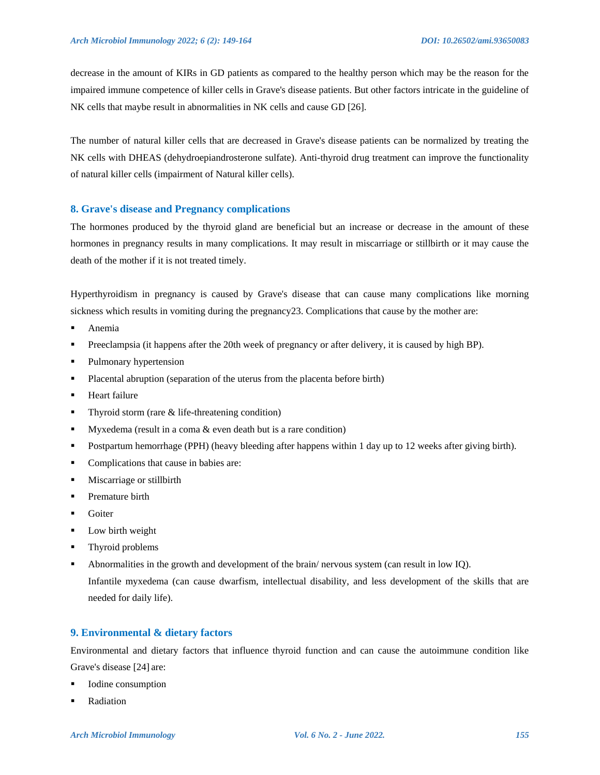decrease in the amount of KIRs in GD patients as compared to the healthy person which may be the reason for the impaired immune competence of killer cells in Grave's disease patients. But other factors intricate in the guideline of NK cells that maybe result in abnormalities in NK cells and cause GD [26].

The number of natural killer cells that are decreased in Grave's disease patients can be normalized by treating the NK cells with DHEAS (dehydroepiandrosterone sulfate). Anti-thyroid drug treatment can improve the functionality of natural killer cells (impairment of Natural killer cells).

#### **8. Grave's disease and Pregnancy complications**

The hormones produced by the thyroid gland are beneficial but an increase or decrease in the amount of these hormones in pregnancy results in many complications. It may result in miscarriage or stillbirth or it may cause the death of the mother if it is not treated timely.

Hyperthyroidism in pregnancy is caused by Grave's disease that can cause many complications like morning sickness which results in vomiting during the pregnancy 23. Complications that cause by the mother are:

- **Anemia**
- Preeclampsia (it happens after the 20th week of pregnancy or after delivery, it is caused by high BP).
- Pulmonary hypertension
- Placental abruption (separation of the uterus from the placenta before birth)
- **Heart failure**
- $\blacksquare$  Thyroid storm (rare & life-threatening condition)
- Myxedema (result in a coma & even death but is a rare condition)
- Postpartum hemorrhage (PPH) (heavy bleeding after happens within 1 day up to 12 weeks after giving birth).
- **Complications that cause in babies are:**
- **Miscarriage or stillbirth**
- Premature birth
- **Goiter**
- Low birth weight
- **Thyroid problems**
- Abnormalities in the growth and development of the brain/ nervous system (can result in low IQ). Infantile myxedema (can cause dwarfism, intellectual disability, and less development of the skills that are needed for daily life).

## **9. Environmental & dietary factors**

Environmental and dietary factors that influence thyroid function and can cause the autoimmune condition like Grave's disease [24] are:

- Iodine consumption
- Radiation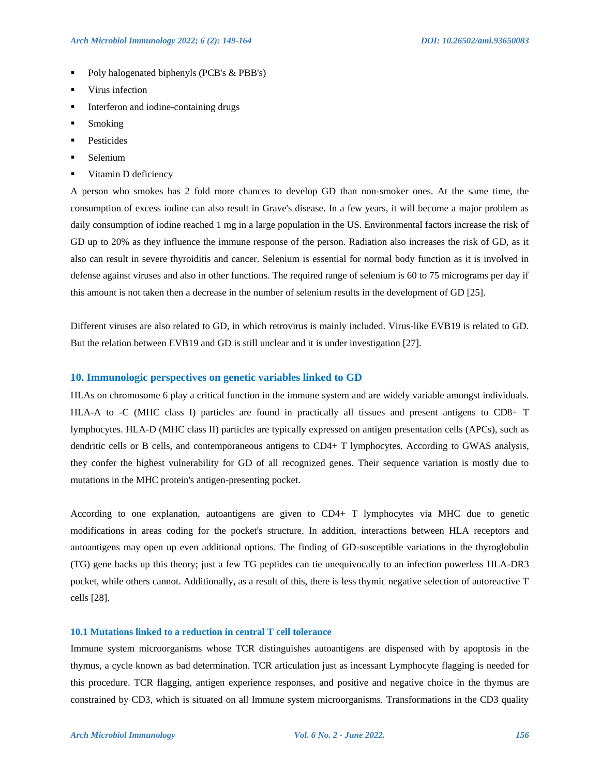- Poly halogenated biphenyls (PCB's & PBB's)
- **UP** Virus infection
- Interferon and iodine-containing drugs
- **Smoking**
- Pesticides
- Selenium
- **Vitamin D deficiency**

A person who smokes has 2 fold more chances to develop GD than non-smoker ones. At the same time, the consumption of excess iodine can also result in Grave's disease. In a few years, it will become a major problem as daily consumption of iodine reached 1 mg in a large population in the US. Environmental factors increase the risk of GD up to 20% as they influence the immune response of the person. Radiation also increases the risk of GD, as it also can result in severe thyroiditis and cancer. Selenium is essential for normal body function as it is involved in defense against viruses and also in other functions. The required range of selenium is 60 to 75 micrograms per day if this amount is not taken then a decrease in the number of selenium results in the development of GD [25].

Different viruses are also related to GD, in which retrovirus is mainly included. Virus-like EVB19 is related to GD. But the relation between EVB19 and GD is still unclear and it is under investigation [27].

#### **10. Immunologic perspectives on genetic variables linked to GD**

HLAs on chromosome 6 play a critical function in the immune system and are widely variable amongst individuals. HLA-A to -C (MHC class I) particles are found in practically all tissues and present antigens to CD8+ T lymphocytes. HLA-D (MHC class II) particles are typically expressed on antigen presentation cells (APCs), such as dendritic cells or B cells, and contemporaneous antigens to CD4+ T lymphocytes. According to GWAS analysis, they confer the highest vulnerability for GD of all recognized genes. Their sequence variation is mostly due to mutations in the MHC protein's antigen-presenting pocket.

According to one explanation, autoantigens are given to CD4+ T lymphocytes via MHC due to genetic modifications in areas coding for the pocket's structure. In addition, interactions between HLA receptors and autoantigens may open up even additional options. The finding of GD-susceptible variations in the thyroglobulin (TG) gene backs up this theory; just a few TG peptides can tie unequivocally to an infection powerless HLA-DR3 pocket, while others cannot. Additionally, as a result of this, there is less thymic negative selection of autoreactive T cells [28].

#### **10.1 Mutations linked to a reduction in central T cell tolerance**

Immune system microorganisms whose TCR distinguishes autoantigens are dispensed with by apoptosis in the thymus, a cycle known as bad determination. TCR articulation just as incessant Lymphocyte flagging is needed for this procedure. TCR flagging, antigen experience responses, and positive and negative choice in the thymus are constrained by CD3, which is situated on all Immune system microorganisms. Transformations in the CD3 quality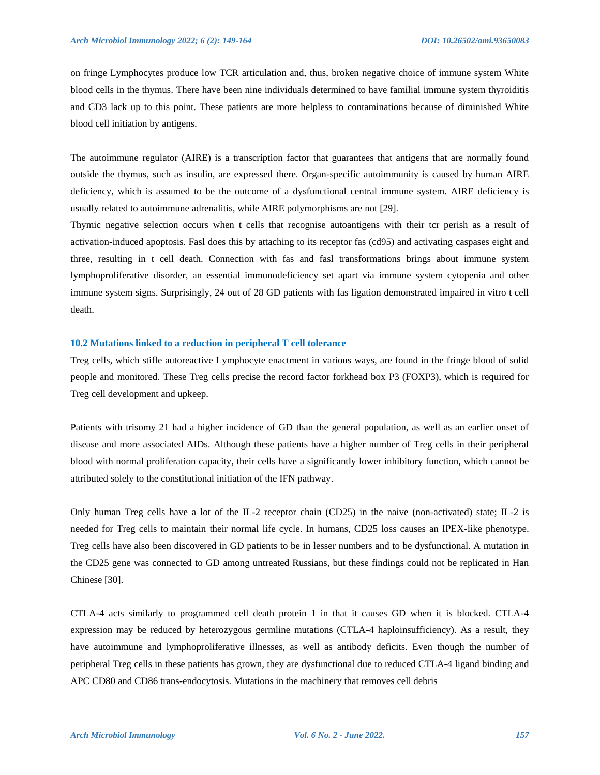on fringe Lymphocytes produce low TCR articulation and, thus, broken negative choice of immune system White blood cells in the thymus. There have been nine individuals determined to have familial immune system thyroiditis and CD3 lack up to this point. These patients are more helpless to contaminations because of diminished White blood cell initiation by antigens.

The autoimmune regulator (AIRE) is a transcription factor that guarantees that antigens that are normally found outside the thymus, such as insulin, are expressed there. Organ-specific autoimmunity is caused by human AIRE deficiency, which is assumed to be the outcome of a dysfunctional central immune system. AIRE deficiency is usually related to autoimmune adrenalitis, while AIRE polymorphisms are not [29].

Thymic negative selection occurs when t cells that recognise autoantigens with their tcr perish as a result of activation-induced apoptosis. Fasl does this by attaching to its receptor fas (cd95) and activating caspases eight and three, resulting in t cell death. Connection with fas and fasl transformations brings about immune system lymphoproliferative disorder, an essential immunodeficiency set apart via immune system cytopenia and other immune system signs. Surprisingly, 24 out of 28 GD patients with fas ligation demonstrated impaired in vitro t cell death.

#### **10.2 Mutations linked to a reduction in peripheral T cell tolerance**

Treg cells, which stifle autoreactive Lymphocyte enactment in various ways, are found in the fringe blood of solid people and monitored. These Treg cells precise the record factor forkhead box P3 (FOXP3), which is required for Treg cell development and upkeep.

Patients with trisomy 21 had a higher incidence of GD than the general population, as well as an earlier onset of disease and more associated AIDs. Although these patients have a higher number of Treg cells in their peripheral blood with normal proliferation capacity, their cells have a significantly lower inhibitory function, which cannot be attributed solely to the constitutional initiation of the IFN pathway.

Only human Treg cells have a lot of the IL-2 receptor chain (CD25) in the naive (non-activated) state; IL-2 is needed for Treg cells to maintain their normal life cycle. In humans, CD25 loss causes an IPEX-like phenotype. Treg cells have also been discovered in GD patients to be in lesser numbers and to be dysfunctional. A mutation in the CD25 gene was connected to GD among untreated Russians, but these findings could not be replicated in Han Chinese [30].

CTLA-4 acts similarly to programmed cell death protein 1 in that it causes GD when it is blocked. CTLA-4 expression may be reduced by heterozygous germline mutations (CTLA-4 haploinsufficiency). As a result, they have autoimmune and lymphoproliferative illnesses, as well as antibody deficits. Even though the number of peripheral Treg cells in these patients has grown, they are dysfunctional due to reduced CTLA-4 ligand binding and APC CD80 and CD86 trans-endocytosis. Mutations in the machinery that removes cell debris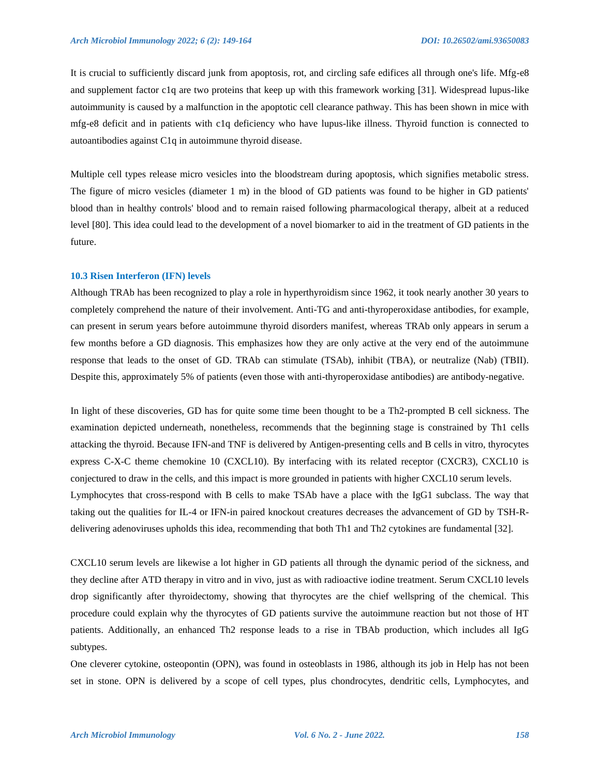It is crucial to sufficiently discard junk from apoptosis, rot, and circling safe edifices all through one's life. Mfg-e8 and supplement factor c1q are two proteins that keep up with this framework working [31]. Widespread lupus-like autoimmunity is caused by a malfunction in the apoptotic cell clearance pathway. This has been shown in mice with mfg-e8 deficit and in patients with c1q deficiency who have lupus-like illness. Thyroid function is connected to autoantibodies against C1q in autoimmune thyroid disease.

Multiple cell types release micro vesicles into the bloodstream during apoptosis, which signifies metabolic stress. The figure of micro vesicles (diameter 1 m) in the blood of GD patients was found to be higher in GD patients' blood than in healthy controls' blood and to remain raised following pharmacological therapy, albeit at a reduced level [80]. This idea could lead to the development of a novel biomarker to aid in the treatment of GD patients in the future.

#### **10.3 Risen Interferon (IFN) levels**

Although TRAb has been recognized to play a role in hyperthyroidism since 1962, it took nearly another 30 years to completely comprehend the nature of their involvement. Anti-TG and anti-thyroperoxidase antibodies, for example, can present in serum years before autoimmune thyroid disorders manifest, whereas TRAb only appears in serum a few months before a GD diagnosis. This emphasizes how they are only active at the very end of the autoimmune response that leads to the onset of GD. TRAb can stimulate (TSAb), inhibit (TBA), or neutralize (Nab) (TBII). Despite this, approximately 5% of patients (even those with anti-thyroperoxidase antibodies) are antibody-negative.

In light of these discoveries, GD has for quite some time been thought to be a Th2-prompted B cell sickness. The examination depicted underneath, nonetheless, recommends that the beginning stage is constrained by Th1 cells attacking the thyroid. Because IFN-and TNF is delivered by Antigen-presenting cells and B cells in vitro, thyrocytes express C-X-C theme chemokine 10 (CXCL10). By interfacing with its related receptor (CXCR3), CXCL10 is conjectured to draw in the cells, and this impact is more grounded in patients with higher CXCL10 serum levels. Lymphocytes that cross-respond with B cells to make TSAb have a place with the IgG1 subclass. The way that taking out the qualities for IL-4 or IFN-in paired knockout creatures decreases the advancement of GD by TSH-Rdelivering adenoviruses upholds this idea, recommending that both Th1 and Th2 cytokines are fundamental [32].

CXCL10 serum levels are likewise a lot higher in GD patients all through the dynamic period of the sickness, and they decline after ATD therapy in vitro and in vivo, just as with radioactive iodine treatment. Serum CXCL10 levels drop significantly after thyroidectomy, showing that thyrocytes are the chief wellspring of the chemical. This procedure could explain why the thyrocytes of GD patients survive the autoimmune reaction but not those of HT patients. Additionally, an enhanced Th2 response leads to a rise in TBAb production, which includes all IgG subtypes.

One cleverer cytokine, osteopontin (OPN), was found in osteoblasts in 1986, although its job in Help has not been set in stone. OPN is delivered by a scope of cell types, plus chondrocytes, dendritic cells, Lymphocytes, and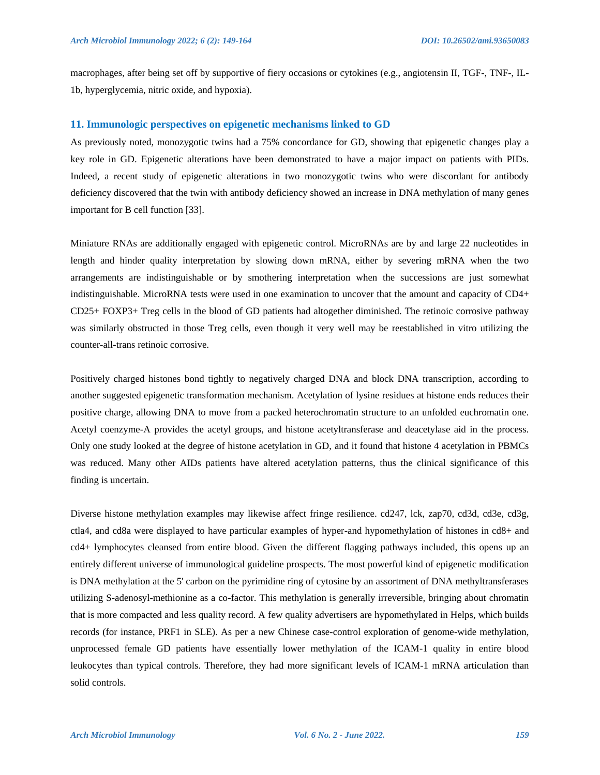macrophages, after being set off by supportive of fiery occasions or cytokines (e.g., angiotensin II, TGF-, TNF-, IL-1b, hyperglycemia, nitric oxide, and hypoxia).

### **11. Immunologic perspectives on epigenetic mechanisms linked to GD**

As previously noted, monozygotic twins had a 75% concordance for GD, showing that epigenetic changes play a key role in GD. Epigenetic alterations have been demonstrated to have a major impact on patients with PIDs. Indeed, a recent study of epigenetic alterations in two monozygotic twins who were discordant for antibody deficiency discovered that the twin with antibody deficiency showed an increase in DNA methylation of many genes important for B cell function [33].

Miniature RNAs are additionally engaged with epigenetic control. MicroRNAs are by and large 22 nucleotides in length and hinder quality interpretation by slowing down mRNA, either by severing mRNA when the two arrangements are indistinguishable or by smothering interpretation when the successions are just somewhat indistinguishable. MicroRNA tests were used in one examination to uncover that the amount and capacity of CD4+ CD25+ FOXP3+ Treg cells in the blood of GD patients had altogether diminished. The retinoic corrosive pathway was similarly obstructed in those Treg cells, even though it very well may be reestablished in vitro utilizing the counter-all-trans retinoic corrosive.

Positively charged histones bond tightly to negatively charged DNA and block DNA transcription, according to another suggested epigenetic transformation mechanism. Acetylation of lysine residues at histone ends reduces their positive charge, allowing DNA to move from a packed heterochromatin structure to an unfolded euchromatin one. Acetyl coenzyme-A provides the acetyl groups, and histone acetyltransferase and deacetylase aid in the process. Only one study looked at the degree of histone acetylation in GD, and it found that histone 4 acetylation in PBMCs was reduced. Many other AIDs patients have altered acetylation patterns, thus the clinical significance of this finding is uncertain.

Diverse histone methylation examples may likewise affect fringe resilience. cd247, lck, zap70, cd3d, cd3e, cd3g, ctla4, and cd8a were displayed to have particular examples of hyper-and hypomethylation of histones in cd8+ and cd4+ lymphocytes cleansed from entire blood. Given the different flagging pathways included, this opens up an entirely different universe of immunological guideline prospects. The most powerful kind of epigenetic modification is DNA methylation at the 5' carbon on the pyrimidine ring of cytosine by an assortment of DNA methyltransferases utilizing S-adenosyl-methionine as a co-factor. This methylation is generally irreversible, bringing about chromatin that is more compacted and less quality record. A few quality advertisers are hypomethylated in Helps, which builds records (for instance, PRF1 in SLE). As per a new Chinese case-control exploration of genome-wide methylation, unprocessed female GD patients have essentially lower methylation of the ICAM-1 quality in entire blood leukocytes than typical controls. Therefore, they had more significant levels of ICAM-1 mRNA articulation than solid controls.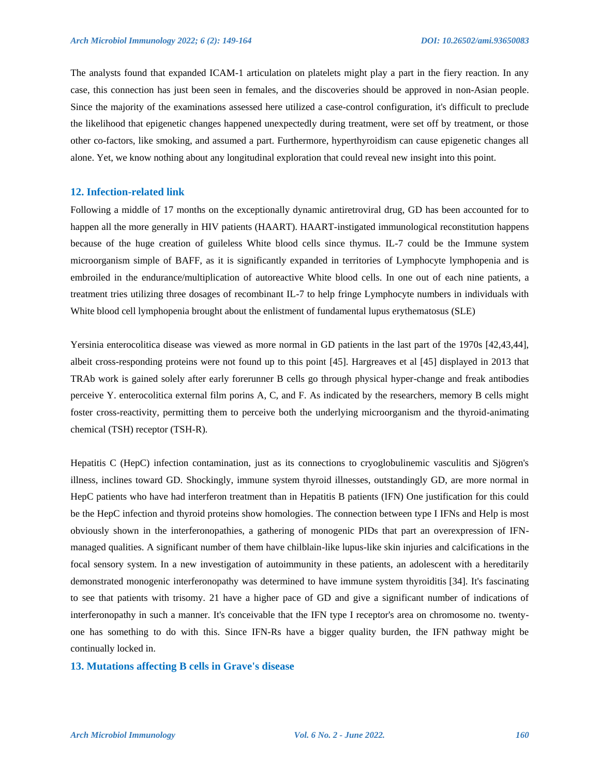The analysts found that expanded ICAM-1 articulation on platelets might play a part in the fiery reaction. In any case, this connection has just been seen in females, and the discoveries should be approved in non-Asian people. Since the majority of the examinations assessed here utilized a case-control configuration, it's difficult to preclude the likelihood that epigenetic changes happened unexpectedly during treatment, were set off by treatment, or those other co-factors, like smoking, and assumed a part. Furthermore, hyperthyroidism can cause epigenetic changes all alone. Yet, we know nothing about any longitudinal exploration that could reveal new insight into this point.

#### **12. Infection-related link**

Following a middle of 17 months on the exceptionally dynamic antiretroviral drug, GD has been accounted for to happen all the more generally in HIV patients (HAART). HAART-instigated immunological reconstitution happens because of the huge creation of guileless White blood cells since thymus. IL-7 could be the Immune system microorganism simple of BAFF, as it is significantly expanded in territories of Lymphocyte lymphopenia and is embroiled in the endurance/multiplication of autoreactive White blood cells. In one out of each nine patients, a treatment tries utilizing three dosages of recombinant IL-7 to help fringe Lymphocyte numbers in individuals with White blood cell lymphopenia brought about the enlistment of fundamental lupus erythematosus (SLE)

Yersinia enterocolitica disease was viewed as more normal in GD patients in the last part of the 1970s [42,43,44], albeit cross-responding proteins were not found up to this point [45]. Hargreaves et al [45] displayed in 2013 that TRAb work is gained solely after early forerunner B cells go through physical hyper-change and freak antibodies perceive Y. enterocolitica external film porins A, C, and F. As indicated by the researchers, memory B cells might foster cross-reactivity, permitting them to perceive both the underlying microorganism and the thyroid-animating chemical (TSH) receptor (TSH-R).

Hepatitis C (HepC) infection contamination, just as its connections to cryoglobulinemic vasculitis and Sjögren's illness, inclines toward GD. Shockingly, immune system thyroid illnesses, outstandingly GD, are more normal in HepC patients who have had interferon treatment than in Hepatitis B patients (IFN) One justification for this could be the HepC infection and thyroid proteins show homologies. The connection between type I IFNs and Help is most obviously shown in the interferonopathies, a gathering of monogenic PIDs that part an overexpression of IFNmanaged qualities. A significant number of them have chilblain-like lupus-like skin injuries and calcifications in the focal sensory system. In a new investigation of autoimmunity in these patients, an adolescent with a hereditarily demonstrated monogenic interferonopathy was determined to have immune system thyroiditis [34]. It's fascinating to see that patients with trisomy. 21 have a higher pace of GD and give a significant number of indications of interferonopathy in such a manner. It's conceivable that the IFN type I receptor's area on chromosome no. twentyone has something to do with this. Since IFN-Rs have a bigger quality burden, the IFN pathway might be continually locked in.

#### **13. Mutations affecting B cells in Grave's disease**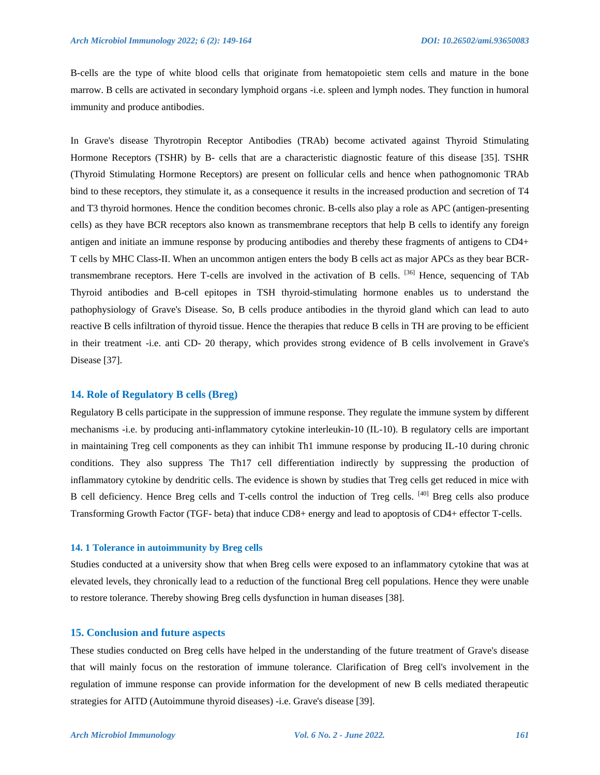B-cells are the type of white blood cells that originate from hematopoietic stem cells and mature in the bone marrow. B cells are activated in secondary lymphoid organs -i.e. spleen and lymph nodes. They function in humoral immunity and produce antibodies.

In Grave's disease Thyrotropin Receptor Antibodies (TRAb) become activated against Thyroid Stimulating Hormone Receptors (TSHR) by B- cells that are a characteristic diagnostic feature of this disease [35]. TSHR (Thyroid Stimulating Hormone Receptors) are present on follicular cells and hence when pathognomonic TRAb bind to these receptors, they stimulate it, as a consequence it results in the increased production and secretion of T4 and T3 thyroid hormones. Hence the condition becomes chronic. B-cells also play a role as APC (antigen-presenting cells) as they have BCR receptors also known as transmembrane receptors that help B cells to identify any foreign antigen and initiate an immune response by producing antibodies and thereby these fragments of antigens to CD4+ T cells by MHC Class-II. When an uncommon antigen enters the body B cells act as major APCs as they bear BCRtransmembrane receptors. Here T-cells are involved in the activation of B cells. [36] Hence, sequencing of TAb Thyroid antibodies and B-cell epitopes in TSH thyroid-stimulating hormone enables us to understand the pathophysiology of Grave's Disease. So, B cells produce antibodies in the thyroid gland which can lead to auto reactive B cells infiltration of thyroid tissue. Hence the therapies that reduce B cells in TH are proving to be efficient in their treatment -i.e. anti CD- 20 therapy, which provides strong evidence of B cells involvement in Grave's Disease [37].

#### **14. Role of Regulatory B cells (Breg)**

Regulatory B cells participate in the suppression of immune response. They regulate the immune system by different mechanisms -i.e. by producing anti-inflammatory cytokine interleukin-10 (IL-10). B regulatory cells are important in maintaining Treg cell components as they can inhibit Th1 immune response by producing IL-10 during chronic conditions. They also suppress The Th17 cell differentiation indirectly by suppressing the production of inflammatory cytokine by dendritic cells. The evidence is shown by studies that Treg cells get reduced in mice with B cell deficiency. Hence Breg cells and T-cells control the induction of Treg cells. [40] Breg cells also produce Transforming Growth Factor (TGF- beta) that induce CD8+ energy and lead to apoptosis of CD4+ effector T-cells.

#### **14. 1 Tolerance in autoimmunity by Breg cells**

Studies conducted at a university show that when Breg cells were exposed to an inflammatory cytokine that was at elevated levels, they chronically lead to a reduction of the functional Breg cell populations. Hence they were unable to restore tolerance. Thereby showing Breg cells dysfunction in human diseases [38].

#### **15. Conclusion and future aspects**

These studies conducted on Breg cells have helped in the understanding of the future treatment of Grave's disease that will mainly focus on the restoration of immune tolerance. Clarification of Breg cell's involvement in the regulation of immune response can provide information for the development of new B cells mediated therapeutic strategies for AITD (Autoimmune thyroid diseases) -i.e. Grave's disease [39].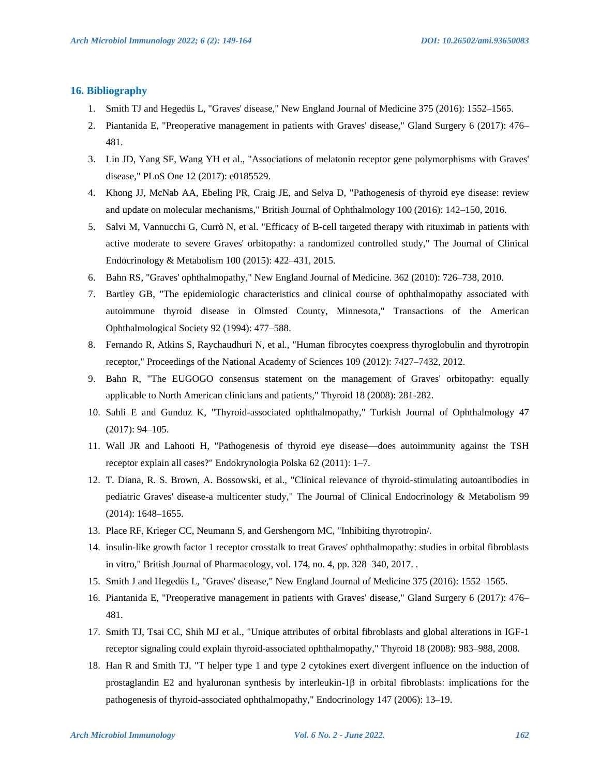## **16. Bibliography**

- 1. Smith TJ and Hegedüs L, "Graves' disease," New England Journal of Medicine 375 (2016): 1552–1565.
- 2. Piantanida E, "Preoperative management in patients with Graves' disease," Gland Surgery 6 (2017): 476– 481.
- 3. Lin JD, Yang SF, Wang YH et al., "Associations of melatonin receptor gene polymorphisms with Graves' disease," PLoS One 12 (2017): e0185529.
- 4. Khong JJ, McNab AA, Ebeling PR, Craig JE, and Selva D, "Pathogenesis of thyroid eye disease: review and update on molecular mechanisms," British Journal of Ophthalmology 100 (2016): 142–150, 2016.
- 5. Salvi M, Vannucchi G, Currò N, et al. "Efficacy of B-cell targeted therapy with rituximab in patients with active moderate to severe Graves' orbitopathy: a randomized controlled study," The Journal of Clinical Endocrinology & Metabolism 100 (2015): 422–431, 2015.
- 6. Bahn RS, "Graves' ophthalmopathy," New England Journal of Medicine. 362 (2010): 726–738, 2010.
- 7. Bartley GB, "The epidemiologic characteristics and clinical course of ophthalmopathy associated with autoimmune thyroid disease in Olmsted County, Minnesota," Transactions of the American Ophthalmological Society 92 (1994): 477–588.
- 8. Fernando R, Atkins S, Raychaudhuri N, et al., "Human fibrocytes coexpress thyroglobulin and thyrotropin receptor," Proceedings of the National Academy of Sciences 109 (2012): 7427–7432, 2012.
- 9. Bahn R, "The EUGOGO consensus statement on the management of Graves' orbitopathy: equally applicable to North American clinicians and patients," Thyroid 18 (2008): 281-282.
- 10. Sahli E and Gunduz K, "Thyroid-associated ophthalmopathy," Turkish Journal of Ophthalmology 47 (2017): 94–105.
- 11. Wall JR and Lahooti H, "Pathogenesis of thyroid eye disease—does autoimmunity against the TSH receptor explain all cases?" Endokrynologia Polska 62 (2011): 1–7.
- 12. T. Diana, R. S. Brown, A. Bossowski, et al., "Clinical relevance of thyroid-stimulating autoantibodies in pediatric Graves' disease-a multicenter study," The Journal of Clinical Endocrinology & Metabolism 99 (2014): 1648–1655.
- 13. Place RF, Krieger CC, Neumann S, and Gershengorn MC, "Inhibiting thyrotropin/.
- 14. insulin-like growth factor 1 receptor crosstalk to treat Graves' ophthalmopathy: studies in orbital fibroblasts in vitro," British Journal of Pharmacology, vol. 174, no. 4, pp. 328–340, 2017. .
- 15. Smith J and Hegedüs L, "Graves' disease," New England Journal of Medicine 375 (2016): 1552–1565.
- 16. Piantanida E, "Preoperative management in patients with Graves' disease," Gland Surgery 6 (2017): 476– 481.
- 17. Smith TJ, Tsai CC, Shih MJ et al., "Unique attributes of orbital fibroblasts and global alterations in IGF-1 receptor signaling could explain thyroid-associated ophthalmopathy," Thyroid 18 (2008): 983–988, 2008.
- 18. Han R and Smith TJ, "T helper type 1 and type 2 cytokines exert divergent influence on the induction of prostaglandin E2 and hyaluronan synthesis by interleukin- $1\beta$  in orbital fibroblasts: implications for the pathogenesis of thyroid-associated ophthalmopathy," Endocrinology 147 (2006): 13–19.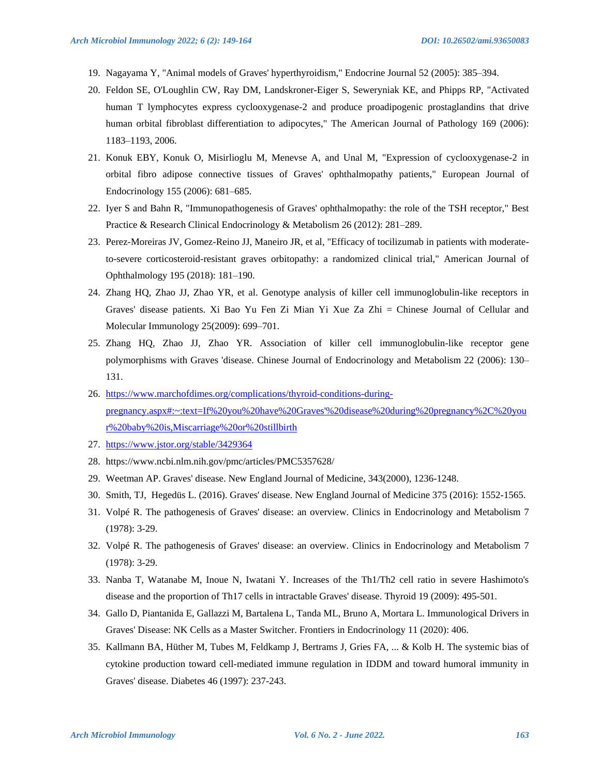- 19. Nagayama Y, "Animal models of Graves' hyperthyroidism," Endocrine Journal 52 (2005): 385–394.
- 20. Feldon SE, O'Loughlin CW, Ray DM, Landskroner-Eiger S, Seweryniak KE, and Phipps RP, "Activated human T lymphocytes express cyclooxygenase-2 and produce proadipogenic prostaglandins that drive human orbital fibroblast differentiation to adipocytes," The American Journal of Pathology 169 (2006): 1183–1193, 2006.
- 21. Konuk EBY, Konuk O, Misirlioglu M, Menevse A, and Unal M, "Expression of cyclooxygenase-2 in orbital fibro adipose connective tissues of Graves' ophthalmopathy patients," European Journal of Endocrinology 155 (2006): 681–685.
- 22. Iyer S and Bahn R, "Immunopathogenesis of Graves' ophthalmopathy: the role of the TSH receptor," Best Practice & Research Clinical Endocrinology & Metabolism 26 (2012): 281–289.
- 23. Perez-Moreiras JV, Gomez-Reino JJ, Maneiro JR, et al, "Efficacy of tocilizumab in patients with moderateto-severe corticosteroid-resistant graves orbitopathy: a randomized clinical trial," American Journal of Ophthalmology 195 (2018): 181–190.
- 24. Zhang HQ, Zhao JJ, Zhao YR, et al. Genotype analysis of killer cell immunoglobulin-like receptors in Graves' disease patients. Xi Bao Yu Fen Zi Mian Yi Xue Za Zhi = Chinese Journal of Cellular and Molecular Immunology 25(2009): 699–701.
- 25. Zhang HQ, Zhao JJ, Zhao YR. Association of killer cell immunoglobulin-like receptor gene polymorphisms with Graves 'disease. Chinese Journal of Endocrinology and Metabolism 22 (2006): 130– 131.
- 26. [https://www.marchofdimes.org/complications/thyroid-conditions-during](https://www.marchofdimes.org/complications/thyroid-conditions-during-pregnancy.aspx#:~:text=If%20you%20have%20Graves)[pregnancy.aspx#:~:text=If%20you%20have%20Graves'%20disease%20during%20pregnancy%2C%20you](https://www.marchofdimes.org/complications/thyroid-conditions-during-pregnancy.aspx#:~:text=If%20you%20have%20Graves) [r%20baby%20is,Miscarriage%20or%20stillbirth](https://www.marchofdimes.org/complications/thyroid-conditions-during-pregnancy.aspx#:~:text=If%20you%20have%20Graves)
- 27. <https://www.jstor.org/stable/3429364>
- 28. https://www.ncbi.nlm.nih.gov/pmc/articles/PMC5357628/
- 29. Weetman AP. Graves' disease. New England Journal of Medicine, 343(2000), 1236-1248.
- 30. Smith, TJ, Hegedüs L. (2016). Graves' disease. New England Journal of Medicine 375 (2016): 1552-1565.
- 31. Volpé R. The pathogenesis of Graves' disease: an overview. Clinics in Endocrinology and Metabolism 7 (1978): 3-29.
- 32. Volpé R. The pathogenesis of Graves' disease: an overview. Clinics in Endocrinology and Metabolism 7 (1978): 3-29.
- 33. Nanba T, Watanabe M, Inoue N, Iwatani Y. Increases of the Th1/Th2 cell ratio in severe Hashimoto's disease and the proportion of Th17 cells in intractable Graves' disease. Thyroid 19 (2009): 495-501.
- 34. Gallo D, Piantanida E, Gallazzi M, Bartalena L, Tanda ML, Bruno A, Mortara L. Immunological Drivers in Graves' Disease: NK Cells as a Master Switcher. Frontiers in Endocrinology 11 (2020): 406.
- 35. Kallmann BA, Hüther M, Tubes M, Feldkamp J, Bertrams J, Gries FA, ... & Kolb H. The systemic bias of cytokine production toward cell-mediated immune regulation in IDDM and toward humoral immunity in Graves' disease. Diabetes 46 (1997): 237-243.